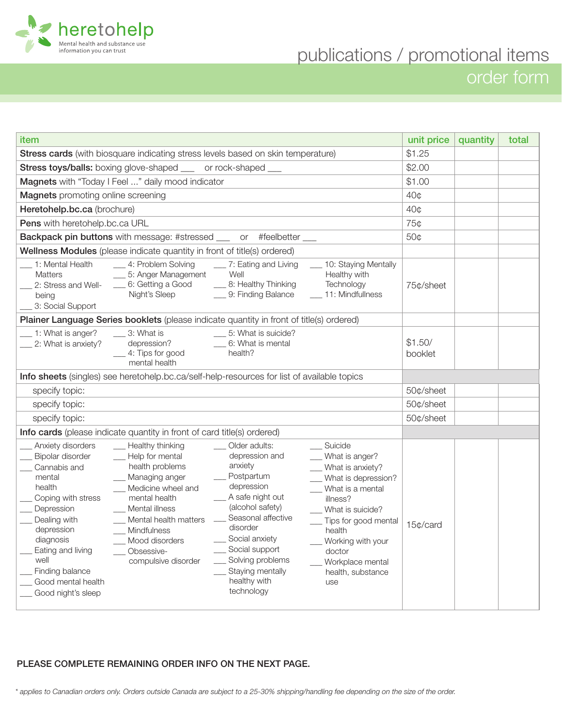

order form

| item                                                                                                                                                                                                                                                                                                                                                                                                                                                                                                                                                                                                                                                                                                                                                                                                                                                                                                                                                                                                                                                                         | unit price         | quantity | total |
|------------------------------------------------------------------------------------------------------------------------------------------------------------------------------------------------------------------------------------------------------------------------------------------------------------------------------------------------------------------------------------------------------------------------------------------------------------------------------------------------------------------------------------------------------------------------------------------------------------------------------------------------------------------------------------------------------------------------------------------------------------------------------------------------------------------------------------------------------------------------------------------------------------------------------------------------------------------------------------------------------------------------------------------------------------------------------|--------------------|----------|-------|
| Stress cards (with biosquare indicating stress levels based on skin temperature)                                                                                                                                                                                                                                                                                                                                                                                                                                                                                                                                                                                                                                                                                                                                                                                                                                                                                                                                                                                             | \$1.25             |          |       |
| Stress toys/balls: boxing glove-shaped __ or rock-shaped __                                                                                                                                                                                                                                                                                                                                                                                                                                                                                                                                                                                                                                                                                                                                                                                                                                                                                                                                                                                                                  | \$2.00             |          |       |
| Magnets with "Today I Feel " daily mood indicator                                                                                                                                                                                                                                                                                                                                                                                                                                                                                                                                                                                                                                                                                                                                                                                                                                                                                                                                                                                                                            | \$1.00             |          |       |
| <b>Magnets</b> promoting online screening                                                                                                                                                                                                                                                                                                                                                                                                                                                                                                                                                                                                                                                                                                                                                                                                                                                                                                                                                                                                                                    | 40 <sub>0</sub>    |          |       |
| Heretohelp.bc.ca (brochure)                                                                                                                                                                                                                                                                                                                                                                                                                                                                                                                                                                                                                                                                                                                                                                                                                                                                                                                                                                                                                                                  | 40¢                |          |       |
| Pens with heretohelp.bc.ca URL                                                                                                                                                                                                                                                                                                                                                                                                                                                                                                                                                                                                                                                                                                                                                                                                                                                                                                                                                                                                                                               | 75¢                |          |       |
| Backpack pin buttons with message: #stressed ___ or #feelbetter __                                                                                                                                                                                                                                                                                                                                                                                                                                                                                                                                                                                                                                                                                                                                                                                                                                                                                                                                                                                                           | 50¢                |          |       |
| Wellness Modules (please indicate quantity in front of title(s) ordered)                                                                                                                                                                                                                                                                                                                                                                                                                                                                                                                                                                                                                                                                                                                                                                                                                                                                                                                                                                                                     |                    |          |       |
| 1: Mental Health<br>__ 4: Problem Solving<br>__ 10: Staying Mentally<br>__ 7: Eating and Living<br>Well<br>__ 5: Anger Management<br>Healthy with<br><b>Matters</b><br>_6: Getting a Good<br>__ 8: Healthy Thinking<br>Technology<br>2: Stress and Well-<br>Night's Sleep<br>__ 9: Finding Balance<br>__ 11: Mindfullness<br>being<br>3: Social Support                                                                                                                                                                                                                                                                                                                                                                                                                                                                                                                                                                                                                                                                                                                      | 75¢/sheet          |          |       |
| Plainer Language Series booklets (please indicate quantity in front of title(s) ordered)                                                                                                                                                                                                                                                                                                                                                                                                                                                                                                                                                                                                                                                                                                                                                                                                                                                                                                                                                                                     |                    |          |       |
| 1: What is anger?<br>3: What is<br>___ 5: What is suicide?<br>depression?<br>__ 6: What is mental<br>2: What is anxiety?<br>__ 4: Tips for good<br>health?<br>mental health                                                                                                                                                                                                                                                                                                                                                                                                                                                                                                                                                                                                                                                                                                                                                                                                                                                                                                  | \$1.50/<br>booklet |          |       |
| Info sheets (singles) see heretohelp.bc.ca/self-help-resources for list of available topics                                                                                                                                                                                                                                                                                                                                                                                                                                                                                                                                                                                                                                                                                                                                                                                                                                                                                                                                                                                  |                    |          |       |
| specify topic:                                                                                                                                                                                                                                                                                                                                                                                                                                                                                                                                                                                                                                                                                                                                                                                                                                                                                                                                                                                                                                                               | 50¢/sheet          |          |       |
| specify topic:                                                                                                                                                                                                                                                                                                                                                                                                                                                                                                                                                                                                                                                                                                                                                                                                                                                                                                                                                                                                                                                               | 50¢/sheet          |          |       |
| specify topic:                                                                                                                                                                                                                                                                                                                                                                                                                                                                                                                                                                                                                                                                                                                                                                                                                                                                                                                                                                                                                                                               | 50¢/sheet          |          |       |
| Info cards (please indicate quantity in front of card title(s) ordered)                                                                                                                                                                                                                                                                                                                                                                                                                                                                                                                                                                                                                                                                                                                                                                                                                                                                                                                                                                                                      |                    |          |       |
| __ Suicide<br>__ Healthy thinking<br>Older adults:<br>Anxiety disorders<br>depression and<br>__ Help for mental<br>__ What is anger?<br>Bipolar disorder<br>anxiety<br>health problems<br>Cannabis and<br>__ What is anxiety?<br>_ Postpartum<br>Managing anger<br>mental<br>What is depression?<br>depression<br>health<br>Medicine wheel and<br>__ What is a mental<br>A safe night out<br>mental health<br>Coping with stress<br>illness?<br>(alcohol safety)<br>Depression<br>Mental illness<br>What is suicide?<br>Seasonal affective<br>Dealing with<br>__ Mental health matters<br>__ Tips for good mental<br>disorder<br>depression<br>__ Mindfulness<br>health<br>__ Social anxiety<br>diagnosis<br>___ Mood disorders<br>__ Working with your<br>__ Social support<br>Eating and living<br>Obsessive-<br>doctor<br>$\overline{\phantom{a}}$<br>__ Solving problems<br>well<br>compulsive disorder<br>Workplace mental<br>Staying mentally<br>Finding balance<br>health, substance<br>healthy with<br>Good mental health<br>use<br>technology<br>Good night's sleep | 15¢/card           |          |       |

## PLEASE COMPLETE REMAINING ORDER INFO ON THE NEXT PAGE.

*\* applies to Canadian orders only. Orders outside Canada are subject to a 25-30% shipping/handling fee depending on the size of the order.*